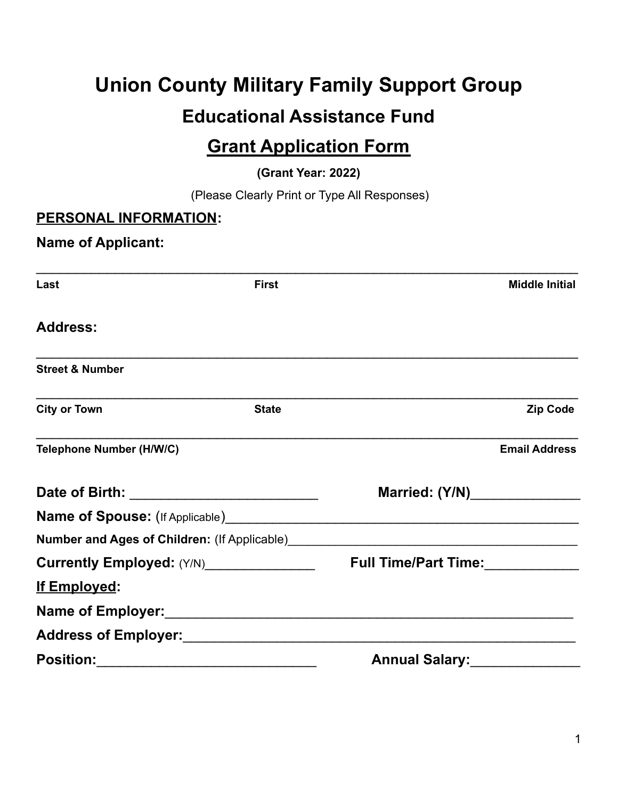# **Union County Military Family Support Group Educational Assistance Fund**

## **Grant Application Form**

**(Grant Year: 2022)**

(Please Clearly Print or Type All Responses)

#### **PERSONAL INFORMATION:**

#### **Name of Applicant:**

| Last                                     | <b>First</b> |                       | <b>Middle Initial</b> |
|------------------------------------------|--------------|-----------------------|-----------------------|
| <b>Address:</b>                          |              |                       |                       |
| <b>Street &amp; Number</b>               |              |                       |                       |
| <b>City or Town</b>                      | <b>State</b> |                       | <b>Zip Code</b>       |
| <b>Telephone Number (H/W/C)</b>          |              |                       | <b>Email Address</b>  |
|                                          |              | Married: (Y/N)        |                       |
|                                          |              |                       |                       |
|                                          |              |                       |                       |
| Currently Employed: (Y/N)_______________ |              | Full Time/Part Time:  |                       |
| <u>If Employed:</u>                      |              |                       |                       |
|                                          |              |                       |                       |
|                                          |              |                       |                       |
| <b>Position:</b>                         |              | <b>Annual Salary:</b> |                       |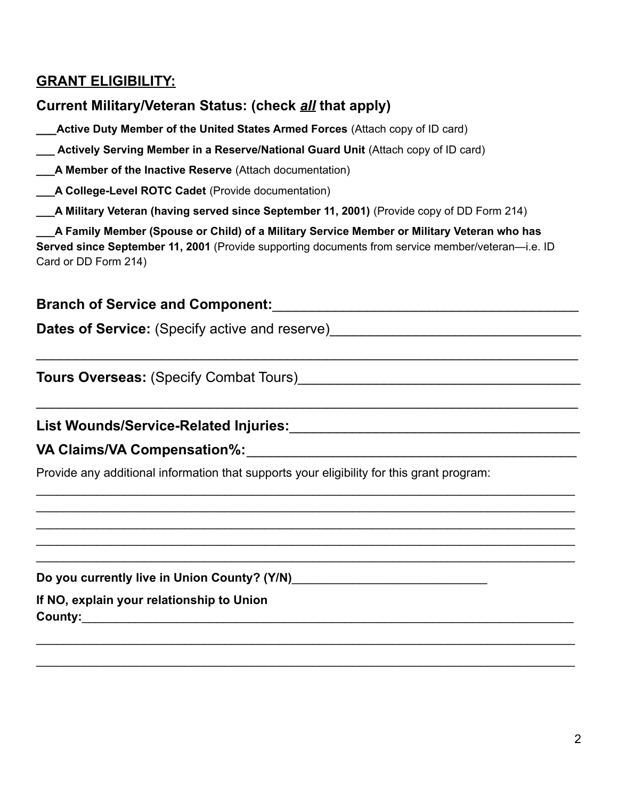#### **GRANT ELIGIBILITY:**

#### **Current Military/Veteran Status: (check** *all* **that apply)**

**\_\_\_Active Duty Member of the United States Armed Forces** (Attach copy of ID card)

**\_\_\_ Actively Serving Member in a Reserve/National Guard Unit** (Attach copy of ID card)

**\_\_\_A Member of the Inactive Reserve** (Attach documentation)

**\_\_\_A College-Level ROTC Cadet** (Provide documentation)

**\_\_\_A Military Veteran (having served since September 11, 2001)** (Provide copy of DD Form 214)

**\_\_\_A Family Member (Spouse or Child) of a Military Service Member or Military Veteran who has Served since September 11, 2001** (Provide supporting documents from service member/veteran—i.e. ID Card or DD Form 214)

 $\mathcal{L}_\text{max}$  , and the contract of the contract of the contract of the contract of the contract of the contract of the contract of the contract of the contract of the contract of the contract of the contract of the contr

 $\mathcal{L}_\text{max}$  , and the contract of the contract of the contract of the contract of the contract of the contract of the contract of the contract of the contract of the contract of the contract of the contract of the contr

 $\_$  $\_$  $\_$  $\_$  $\_$ 

 $\_$ 

 $\_$ 

#### **Branch of Service and Component:**\_\_\_\_\_\_\_\_\_\_\_\_\_\_\_\_\_\_\_\_\_\_\_\_\_\_\_\_\_\_\_\_\_\_\_\_\_\_\_

**Dates of Service:** (Specify active and reserve)

**Tours Overseas:** (Specify Combat Tours)

**List Wounds/Service-Related Injuries:**\_\_\_\_\_\_\_\_\_\_\_\_\_\_\_\_\_\_\_\_\_\_\_\_\_\_\_\_\_\_\_\_\_\_\_\_\_

**VA Claims/VA Compensation%:**\_\_\_\_\_\_\_\_\_\_\_\_\_\_\_\_\_\_\_\_\_\_\_\_\_\_\_\_\_\_\_\_\_\_\_\_\_\_\_\_\_\_

Provide any additional information that supports your eligibility for this grant program:

**Do you currently live in Union County? (Y/N)**\_\_\_\_\_\_\_\_\_\_\_\_\_\_\_\_\_\_\_\_\_\_\_\_\_\_\_\_\_

**If NO, explain your relationship to Union County:**\_\_\_\_\_\_\_\_\_\_\_\_\_\_\_\_\_\_\_\_\_\_\_\_\_\_\_\_\_\_\_\_\_\_\_\_\_\_\_\_\_\_\_\_\_\_\_\_\_\_\_\_\_\_\_\_\_\_\_\_\_\_\_\_\_\_\_\_\_\_\_\_\_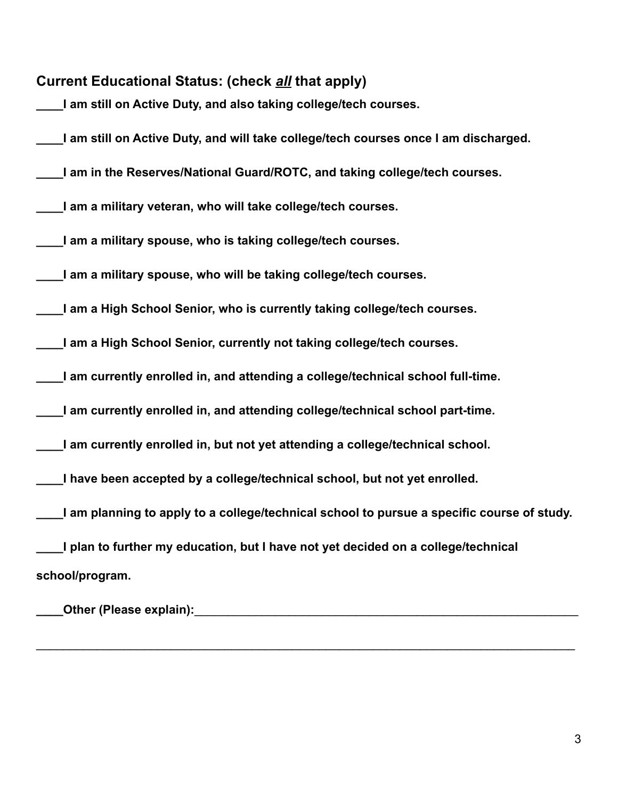| <b>Current Educational Status: (check all that apply)</b>                                  |
|--------------------------------------------------------------------------------------------|
| I am still on Active Duty, and also taking college/tech courses.                           |
| I am still on Active Duty, and will take college/tech courses once I am discharged.        |
| I am in the Reserves/National Guard/ROTC, and taking college/tech courses.                 |
| I am a military veteran, who will take college/tech courses.                               |
| I am a military spouse, who is taking college/tech courses.                                |
| I am a military spouse, who will be taking college/tech courses.                           |
| I am a High School Senior, who is currently taking college/tech courses.                   |
| I am a High School Senior, currently not taking college/tech courses.                      |
| I am currently enrolled in, and attending a college/technical school full-time.            |
| I am currently enrolled in, and attending college/technical school part-time.              |
| I am currently enrolled in, but not yet attending a college/technical school.              |
| I have been accepted by a college/technical school, but not yet enrolled.                  |
| I am planning to apply to a college/technical school to pursue a specific course of study. |
| I plan to further my education, but I have not yet decided on a college/technical          |
| school/program.                                                                            |
|                                                                                            |

 $\_$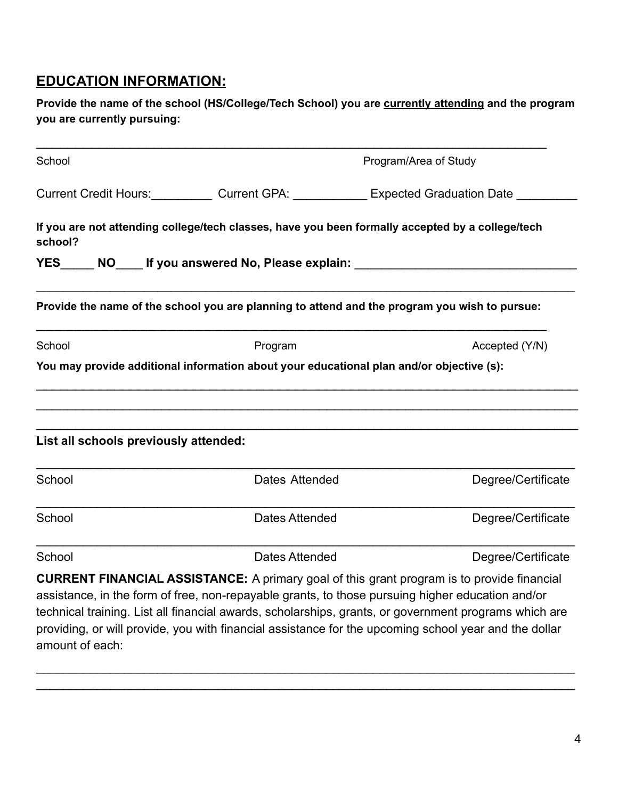#### **EDUCATION INFORMATION:**

**Provide the name of the school (HS/College/Tech School) you are currently attending and the program you are currently pursuing:**

| School                                |                       | Program/Area of Study                                                                                                                                                                                                                                                                                                                                                                                                   |  |  |  |  |
|---------------------------------------|-----------------------|-------------------------------------------------------------------------------------------------------------------------------------------------------------------------------------------------------------------------------------------------------------------------------------------------------------------------------------------------------------------------------------------------------------------------|--|--|--|--|
|                                       |                       | Current Credit Hours: Current GPA: Expected Graduation Date                                                                                                                                                                                                                                                                                                                                                             |  |  |  |  |
| school?                               |                       | If you are not attending college/tech classes, have you been formally accepted by a college/tech                                                                                                                                                                                                                                                                                                                        |  |  |  |  |
|                                       |                       | YES NO If you answered No, Please explain:                                                                                                                                                                                                                                                                                                                                                                              |  |  |  |  |
|                                       |                       | Provide the name of the school you are planning to attend and the program you wish to pursue:                                                                                                                                                                                                                                                                                                                           |  |  |  |  |
| School                                | Program               | Accepted (Y/N)                                                                                                                                                                                                                                                                                                                                                                                                          |  |  |  |  |
|                                       |                       | You may provide additional information about your educational plan and/or objective (s):                                                                                                                                                                                                                                                                                                                                |  |  |  |  |
|                                       |                       |                                                                                                                                                                                                                                                                                                                                                                                                                         |  |  |  |  |
|                                       |                       |                                                                                                                                                                                                                                                                                                                                                                                                                         |  |  |  |  |
| List all schools previously attended: |                       |                                                                                                                                                                                                                                                                                                                                                                                                                         |  |  |  |  |
| School                                | Dates Attended        | Degree/Certificate                                                                                                                                                                                                                                                                                                                                                                                                      |  |  |  |  |
| School                                | Dates Attended        | Degree/Certificate                                                                                                                                                                                                                                                                                                                                                                                                      |  |  |  |  |
| School                                | <b>Dates Attended</b> | Degree/Certificate                                                                                                                                                                                                                                                                                                                                                                                                      |  |  |  |  |
|                                       |                       | <b>CURRENT FINANCIAL ASSISTANCE:</b> A primary goal of this grant program is to provide financial<br>assistance, in the form of free, non-repayable grants, to those pursuing higher education and/or<br>technical training. List all financial awards, scholarships, grants, or government programs which are<br>providing, or will provide, you with financial assistance for the upcoming school year and the dollar |  |  |  |  |

 $\_$  $\_$ 

amount of each: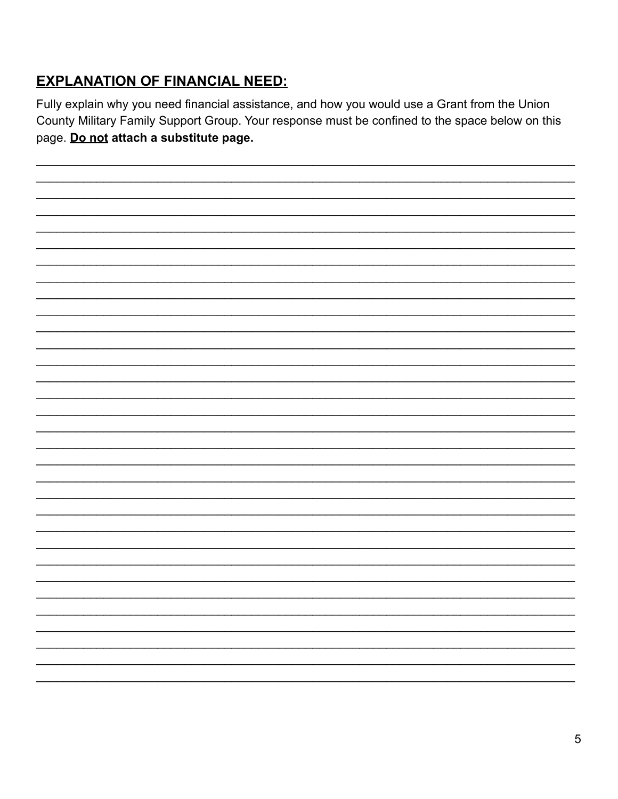### **EXPLANATION OF FINANCIAL NEED:**

Fully explain why you need financial assistance, and how you would use a Grant from the Union County Military Family Support Group. Your response must be confined to the space below on this page. Do not attach a substitute page.